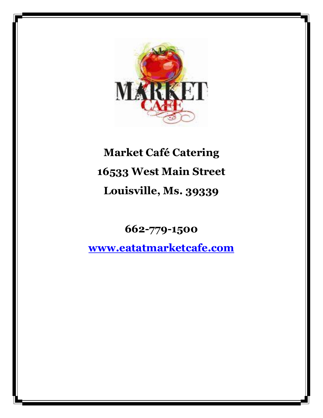

# **Market Café Catering 16533 West Main Street Louisville, Ms. 39339**

**662-779-1500**

**[www.eatatmarketcafe.com](http://www.eatatmarketcafe.com/)**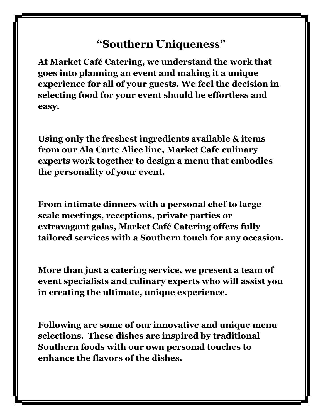## **"Southern Uniqueness"**

**At Market Café Catering, we understand the work that goes into planning an event and making it a unique experience for all of your guests. We feel the decision in selecting food for your event should be effortless and easy.**

**Using only the freshest ingredients available & items from our Ala Carte Alice line, Market Cafe culinary experts work together to design a menu that embodies the personality of your event.** 

**From intimate dinners with a personal chef to large scale meetings, receptions, private parties or extravagant galas, Market Café Catering offers fully tailored services with a Southern touch for any occasion.**

**More than just a catering service, we present a team of event specialists and culinary experts who will assist you in creating the ultimate, unique experience.** 

**Following are some of our innovative and unique menu selections. These dishes are inspired by traditional Southern foods with our own personal touches to enhance the flavors of the dishes.**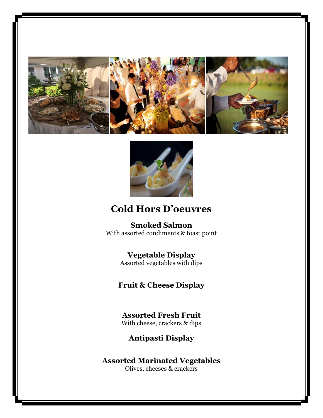







## **Cold Hors D'oeuvres**

**Smoked Salmon** With assorted condiments & toast point

## **Vegetable Display**

Assorted vegetables with dips

**Fruit & Cheese Display**

### **Assorted Fresh Fruit** With cheese, crackers & dips

**Antipasti Display**

**Assorted Marinated Vegetables** Olives, cheeses & crackers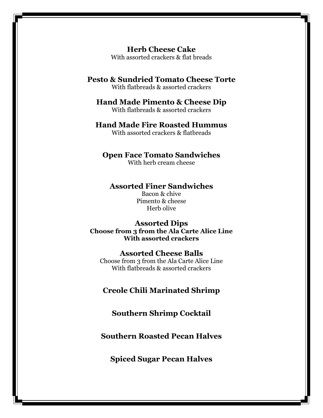**Herb Cheese Cake** With assorted crackers & flat breads

#### **Pesto & Sundried Tomato Cheese Torte** With flatbreads & assorted crackers

#### **Hand Made Pimento & Cheese Dip** With flatbreads & assorted crackers

#### **Hand Made Fire Roasted Hummus** With assorted crackers & flatbreads

#### **Open Face Tomato Sandwiches**

With herb cream cheese

#### **Assorted Finer Sandwiches**

Bacon & chive Pimento & cheese Herb olive

#### **Assorted Dips Choose from 3 from the Ala Carte Alice Line With assorted crackers**

#### **Assorted Cheese Balls**

Choose from 3 from the Ala Carte Alice Line With flatbreads & assorted crackers

#### **Creole Chili Marinated Shrimp**

#### **Southern Shrimp Cocktail**

#### **Southern Roasted Pecan Halves**

**Spiced Sugar Pecan Halves**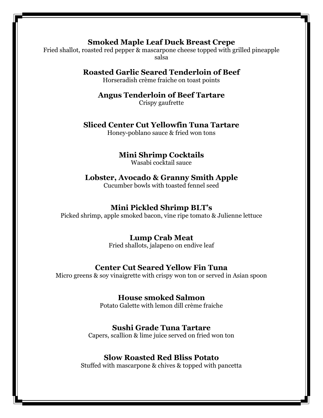#### **Smoked Maple Leaf Duck Breast Crepe**

Fried shallot, roasted red pepper & mascarpone cheese topped with grilled pineapple salsa

### **Roasted Garlic Seared Tenderloin of Beef**

Horseradish crème fraiche on toast points

## **Angus Tenderloin of Beef Tartare**

Crispy gaufrette

#### **Sliced Center Cut Yellowfin Tuna Tartare**

Honey-poblano sauce & fried won tons

### **Mini Shrimp Cocktails**

Wasabi cocktail sauce

## **Lobster, Avocado & Granny Smith Apple**

Cucumber bowls with toasted fennel seed

#### **Mini Pickled Shrimp BLT's**

Picked shrimp, apple smoked bacon, vine ripe tomato & Julienne lettuce

#### **Lump Crab Meat**

Fried shallots, jalapeno on endive leaf

#### **Center Cut Seared Yellow Fin Tuna**

Micro greens & soy vinaigrette with crispy won ton or served in Asian spoon

#### **House smoked Salmon**

Potato Galette with lemon dill crème fraiche

#### **Sushi Grade Tuna Tartare**

Capers, scallion & lime juice served on fried won ton

#### **Slow Roasted Red Bliss Potato**

Stuffed with mascarpone & chives & topped with pancetta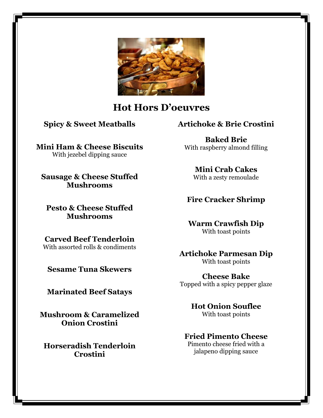

## **Hot Hors D'oeuvres**

**Spicy & Sweet Meatballs**

**Mini Ham & Cheese Biscuits** With jezebel dipping sauce

**Sausage & Cheese Stuffed Mushrooms**

**Pesto & Cheese Stuffed Mushrooms**

**Carved Beef Tenderloin** With assorted rolls & condiments

**Sesame Tuna Skewers**

**Marinated Beef Satays**

**Mushroom & Caramelized Onion Crostini**

**Horseradish Tenderloin Crostini**

## **Artichoke & Brie Crostini**

**Baked Brie** With raspberry almond filling

> **Mini Crab Cakes** With a zesty remoulade

## **Fire Cracker Shrimp**

**Warm Crawfish Dip** With toast points

**Artichoke Parmesan Dip** With toast points

**Cheese Bake** Topped with a spicy pepper glaze

> **Hot Onion Souflee** With toast points

#### **Fried Pimento Cheese** Pimento cheese fried with a

jalapeno dipping sauce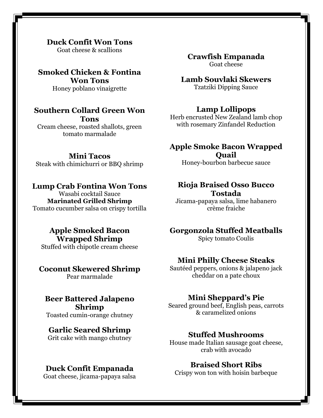#### **Duck Confit Won Tons**

Goat cheese & scallions

**Smoked Chicken & Fontina Won Tons** Honey poblano vinaigrette

#### **Southern Collard Green Won Tons** Cream cheese, roasted shallots, green tomato marmalade

#### **Mini Tacos**

Steak with chimichurri or BBQ shrimp

### **Lump Crab Fontina Won Tons**

Wasabi cocktail Sauce **Marinated Grilled Shrimp** Tomato cucumber salsa on crispy tortilla

## **Apple Smoked Bacon Wrapped Shrimp**

Stuffed with chipotle cream cheese

#### **Coconut Skewered Shrimp**

Pear marmalade

#### **Beer Battered Jalapeno Shrimp**

Toasted cumin-orange chutney

#### **Garlic Seared Shrimp**

Grit cake with mango chutney

#### **Duck Confit Empanada**

Goat cheese, jicama-papaya salsa

**Crawfish Empanada** Goat cheese

**Lamb Souvlaki Skewers** Tzatziki Dipping Sauce

## **Lamp Lollipops**

Herb encrusted New Zealand lamb chop with rosemary Zinfandel Reduction

## **Apple Smoke Bacon Wrapped**

**Quail** Honey-bourbon barbecue sauce

#### **Rioja Braised Osso Bucco Tostada**

Jicama-papaya salsa, lime habanero crème fraiche

## **Gorgonzola Stuffed Meatballs**

Spicy tomato Coulis

#### **Mini Philly Cheese Steaks**

Sautéed peppers, onions & jalapeno jack cheddar on a pate choux

#### **Mini Sheppard's Pie**

Seared ground beef, English peas, carrots & caramelized onions

#### **Stuffed Mushrooms**

House made Italian sausage goat cheese, crab with avocado

### **Braised Short Ribs**

Crispy won ton with hoisin barbeque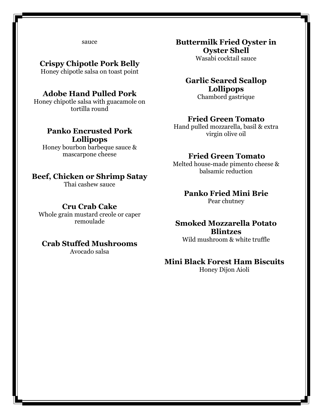sauce

#### **Crispy Chipotle Pork Belly**

Honey chipotle salsa on toast point

#### **Adobe Hand Pulled Pork**

Honey chipotle salsa with guacamole on tortilla round

#### **Panko Encrusted Pork Lollipops**

Honey bourbon barbeque sauce & mascarpone cheese

#### **Beef, Chicken or Shrimp Satay**

Thai cashew sauce

#### **Cru Crab Cake**

Whole grain mustard creole or caper remoulade

#### **Crab Stuffed Mushrooms**

Avocado salsa

**Buttermilk Fried Oyster in Oyster Shell**

Wasabi cocktail sauce

#### **Garlic Seared Scallop Lollipops** Chambord gastrique

#### **Fried Green Tomato**

Hand pulled mozzarella, basil & extra virgin olive oil

#### **Fried Green Tomato**

Melted house-made pimento cheese & balsamic reduction

## **Panko Fried Mini Brie**

Pear chutney

## **Smoked Mozzarella Potato Blintzes**

Wild mushroom & white truffle

#### **Mini Black Forest Ham Biscuits**

Honey Dijon Aioli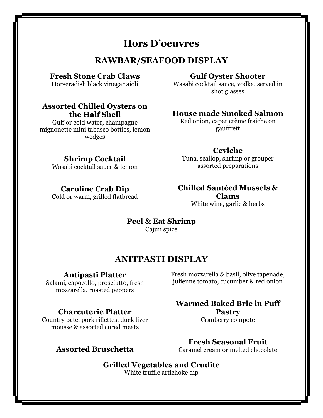## **Hors D'oeuvres**

## **RAWBAR/SEAFOOD DISPLAY**

#### **Fresh Stone Crab Claws**

Horseradish black vinegar aioli

#### **Assorted Chilled Oysters on the Half Shell**

Gulf or cold water, champagne mignonette mini tabasco bottles, lemon wedges

#### **Gulf Oyster Shooter**

Wasabi cocktail sauce, vodka, served in shot glasses

#### **House made Smoked Salmon**

Red onion, caper crème fraiche on gauffrett

#### **Ceviche**

Tuna, scallop, shrimp or grouper assorted preparations

## Wasabi cocktail sauce & lemon

**Shrimp Cocktail**

#### **Caroline Crab Dip**

Cold or warm, grilled flatbread

#### **Chilled Sautéed Mussels & Clams** White wine, garlic & herbs

#### **Peel & Eat Shrimp** Cajun spice

## **ANITPASTI DISPLAY**

#### **Antipasti Platter**

Salami, capocollo, prosciutto, fresh mozzarella, roasted peppers

#### **Charcuterie Platter**

Country pate, pork rillettes, duck liver mousse & assorted cured meats

#### Fresh mozzarella & basil, olive tapenade, julienne tomato, cucumber & red onion

#### **Warmed Baked Brie in Puff Pastry** Cranberry compote

**Fresh Seasonal Fruit** Caramel cream or melted chocolate

**Assorted Bruschetta**

**Grilled Vegetables and Crudite** White truffle artichoke dip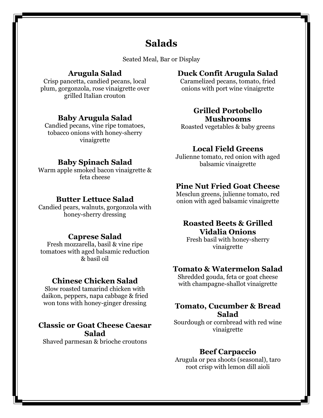## **Salads**

Seated Meal, Bar or Display

#### **Arugula Salad**

Crisp pancetta, candied pecans, local plum, gorgonzola, rose vinaigrette over grilled Italian crouton

#### **Baby Arugula Salad**

Candied pecans, vine ripe tomatoes, tobacco onions with honey-sherry vinaigrette

#### **Baby Spinach Salad**

Warm apple smoked bacon vinaigrette & feta cheese

#### **Butter Lettuce Salad**

Candied pears, walnuts, gorgonzola with honey-sherry dressing

#### **Caprese Salad**

Fresh mozzarella, basil & vine ripe tomatoes with aged balsamic reduction & basil oil

#### **Chinese Chicken Salad**

Slow roasted tamarind chicken with daikon, peppers, napa cabbage & fried won tons with honey-ginger dressing

#### **Classic or Goat Cheese Caesar Salad**

Shaved parmesan & brioche croutons

### **Duck Confit Arugula Salad**

Caramelized pecans, tomato, fried onions with port wine vinaigrette

#### **Grilled Portobello Mushrooms**

Roasted vegetables & baby greens

#### **Local Field Greens**

Julienne tomato, red onion with aged balsamic vinaigrette

#### **Pine Nut Fried Goat Cheese**

Mesclun greens, julienne tomato, red onion with aged balsamic vinaigrette

#### **Roasted Beets & Grilled Vidalia Onions**

Fresh basil with honey-sherry vinaigrette

#### **Tomato & Watermelon Salad**

Shredded gouda, feta or goat cheese with champagne-shallot vinaigrette

#### **Tomato, Cucumber & Bread Salad**

Sourdough or cornbread with red wine vinaigrette

#### **Beef Carpaccio**

Arugula or pea shoots (seasonal), taro root crisp with lemon dill aioli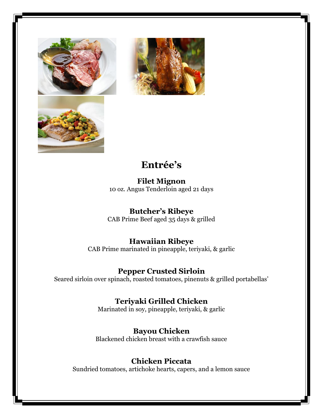



## **Entrée's**

**Filet Mignon** 10 oz. Angus Tenderloin aged 21 days

## **Butcher's Ribeye**

CAB Prime Beef aged 35 days & grilled

## **Hawaiian Ribeye**

CAB Prime marinated in pineapple, teriyaki, & garlic

### **Pepper Crusted Sirloin**

Seared sirloin over spinach, roasted tomatoes, pinenuts & grilled portabellas'

## **Teriyaki Grilled Chicken**

Marinated in soy, pineapple, teriyaki, & garlic

## **Bayou Chicken**

Blackened chicken breast with a crawfish sauce

## **Chicken Piccata**

Sundried tomatoes, artichoke hearts, capers, and a lemon sauce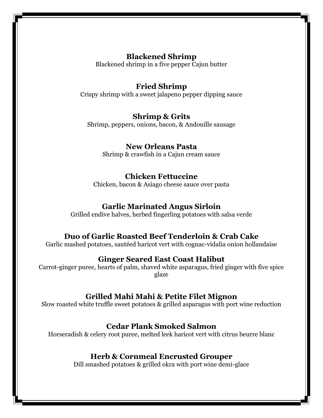### **Blackened Shrimp**

Blackened shrimp in a five pepper Cajun butter

### **Fried Shrimp**

Crispy shrimp with a sweet jalapeno pepper dipping sauce

#### **Shrimp & Grits**

Shrimp, peppers, onions, bacon, & Andouille sausage

#### **New Orleans Pasta**

Shrimp & crawfish in a Cajun cream sauce

#### **Chicken Fettuccine**

Chicken, bacon & Asiago cheese sauce over pasta

#### **Garlic Marinated Angus Sirloin**

Grilled endive halves, herbed fingerling potatoes with salsa verde

#### **Duo of Garlic Roasted Beef Tenderloin & Crab Cake**

Garlic mashed potatoes, sautéed haricot vert with cognac-vidalia onion hollandaise

#### **Ginger Seared East Coast Halibut**

Carrot-ginger puree, hearts of palm, shaved white asparagus, fried ginger with five spice glaze

#### **Grilled Mahi Mahi & Petite Filet Mignon**

Slow roasted white truffle sweet potatoes & grilled asparagus with port wine reduction

#### **Cedar Plank Smoked Salmon**

Horseradish & celery root puree, melted leek haricot vert with citrus beurre blanc

#### **Herb & Cornmeal Encrusted Grouper**

Dill smashed potatoes & grilled okra with port wine demi-glace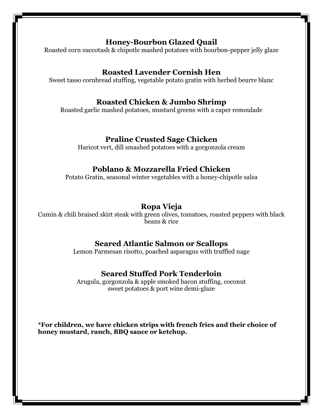#### **Honey-Bourbon Glazed Quail**

Roasted corn succotash & chipotle mashed potatoes with bourbon-pepper jelly glaze

## **Roasted Lavender Cornish Hen**

Sweet tasso cornbread stuffing, vegetable potato gratin with herbed beurre blanc

### **Roasted Chicken & Jumbo Shrimp**

Roasted garlic mashed potatoes, mustard greens with a caper remoulade

### **Praline Crusted Sage Chicken**

Haricot vert, dill smashed potatoes with a gorgonzola cream

## **Poblano & Mozzarella Fried Chicken**

Potato Gratin, seasonal winter vegetables with a honey-chipotle salsa

## **Ropa Vieja**

Cumin & chili braised skirt steak with green olives, tomatoes, roasted peppers with black beans & rice

### **Seared Atlantic Salmon or Scallops**

Lemon Parmesan risotto, poached asparagus with truffled nage

## **Seared Stuffed Pork Tenderloin**

Arugula, gorgonzola & apple smoked bacon stuffing, coconut sweet potatoes & port wine demi-glaze

**\*For children, we have chicken strips with french fries and their choice of honey mustard, ranch, BBQ sauce or ketchup.**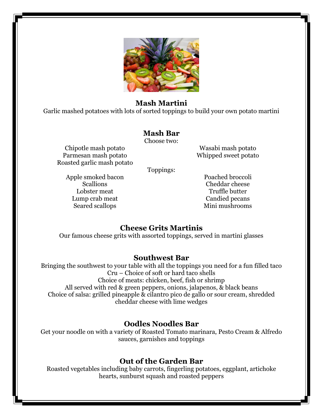

#### **Mash Martini**

Garlic mashed potatoes with lots of sorted toppings to build your own potato martini

#### **Mash Bar**

Choose two:

Chipotle mash potato Parmesan mash potato Roasted garlic mash potato

Wasabi mash potato Whipped sweet potato

Toppings:

Apple smoked bacon Scallions Lobster meat Lump crab meat Seared scallops

Poached broccoli Cheddar cheese Truffle butter Candied pecans Mini mushrooms

#### **Cheese Grits Martinis**

Our famous cheese grits with assorted toppings, served in martini glasses

#### **Southwest Bar**

Bringing the southwest to your table with all the toppings you need for a fun filled taco Cru – Choice of soft or hard taco shells Choice of meats: chicken, beef, fish or shrimp All served with red & green peppers, onions, jalapenos, & black beans Choice of salsa: grilled pineapple & cilantro pico de gallo or sour cream, shredded cheddar cheese with lime wedges

#### **Oodles Noodles Bar**

Get your noodle on with a variety of Roasted Tomato marinara, Pesto Cream & Alfredo sauces, garnishes and toppings

#### **Out of the Garden Bar**

Roasted vegetables including baby carrots, fingerling potatoes, eggplant, artichoke hearts, sunburst squash and roasted peppers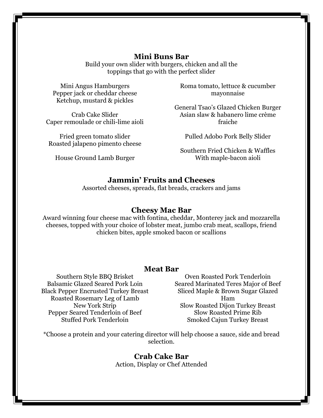#### **Mini Buns Bar**

Build your own slider with burgers, chicken and all the toppings that go with the perfect slider

Mini Angus Hamburgers Pepper jack or cheddar cheese Ketchup, mustard & pickles

Crab Cake Slider Caper remoulade or chili-lime aioli

Fried green tomato slider Roasted jalapeno pimento cheese

House Ground Lamb Burger

Roma tomato, lettuce & cucumber mayonnaise

General Tsao's Glazed Chicken Burger Asian slaw & habanero lime crème fraiche

Pulled Adobo Pork Belly Slider

Southern Fried Chicken & Waffles With maple-bacon aioli

#### **Jammin' Fruits and Cheeses**

Assorted cheeses, spreads, flat breads, crackers and jams

#### **Cheesy Mac Bar**

Award winning four cheese mac with fontina, cheddar, Monterey jack and mozzarella cheeses, topped with your choice of lobster meat, jumbo crab meat, scallops, friend chicken bites, apple smoked bacon or scallions

#### **Meat Bar**

Southern Style BBQ Brisket Balsamic Glazed Seared Pork Loin Black Pepper Encrusted Turkey Breast Roasted Rosemary Leg of Lamb New York Strip Pepper Seared Tenderloin of Beef Stuffed Pork Tenderloin

Oven Roasted Pork Tenderloin Seared Marinated Teres Major of Beef Sliced Maple & Brown Sugar Glazed Ham Slow Roasted Dijon Turkey Breast Slow Roasted Prime Rib Smoked Cajun Turkey Breast

\*Choose a protein and your catering director will help choose a sauce, side and bread selection.

> **Crab Cake Bar** Action, Display or Chef Attended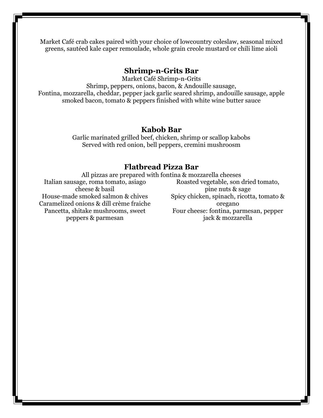Market Café crab cakes paired with your choice of lowcountry coleslaw, seasonal mixed greens, sautéed kale caper remoulade, whole grain creole mustard or chili lime aioli

#### **Shrimp-n-Grits Bar**

Market Café Shrimp-n-Grits Shrimp, peppers, onions, bacon, & Andouille sausage, Fontina, mozzarella, cheddar, pepper jack garlic seared shrimp, andouille sausage, apple smoked bacon, tomato & peppers finished with white wine butter sauce

#### **Kabob Bar**

Garlic marinated grilled beef, chicken, shrimp or scallop kabobs Served with red onion, bell peppers, cremini mushroosm

#### **Flatbread Pizza Bar**

All pizzas are prepared with fontina & mozzarella cheeses Italian sausage, roma tomato, asiago cheese & basil House-made smoked salmon & chives Caramelized onions & dill crème fraiche Pancetta, shitake mushrooms, sweet peppers & parmesan Roasted vegetable, son dried tomato, pine nuts & sage Spicy chicken, spinach, ricotta, tomato & oregano Four cheese: fontina, parmesan, pepper jack & mozzarella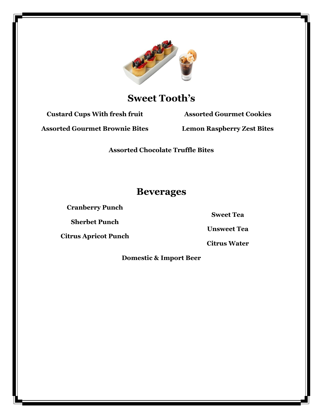

## **Sweet Tooth's**

**Custard Cups With fresh fruit**

**Assorted Gourmet Cookies**

**Assorted Gourmet Brownie Bites**

**Lemon Raspberry Zest Bites**

**Assorted Chocolate Truffle Bites**

## **Beverages**

**Cranberry Punch**

**Sherbet Punch**

**Citrus Apricot Punch**

**Sweet Tea**

**Unsweet Tea**

**Citrus Water**

**Domestic & Import Beer**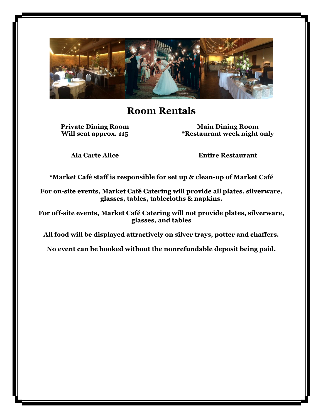

## **Room Rentals**

**Private Dining Room Will seat approx. 115**

**Main Dining Room \*Restaurant week night only**

**Ala Carte Alice**

**Entire Restaurant**

**\*Market Café staff is responsible for set up & clean-up of Market Café**

**For on-site events, Market Café Catering will provide all plates, silverware, glasses, tables, tablecloths & napkins.** 

**For off-site events, Market Café Catering will not provide plates, silverware, glasses, and tables**

**All food will be displayed attractively on silver trays, potter and chaffers.**

**No event can be booked without the nonrefundable deposit being paid.**